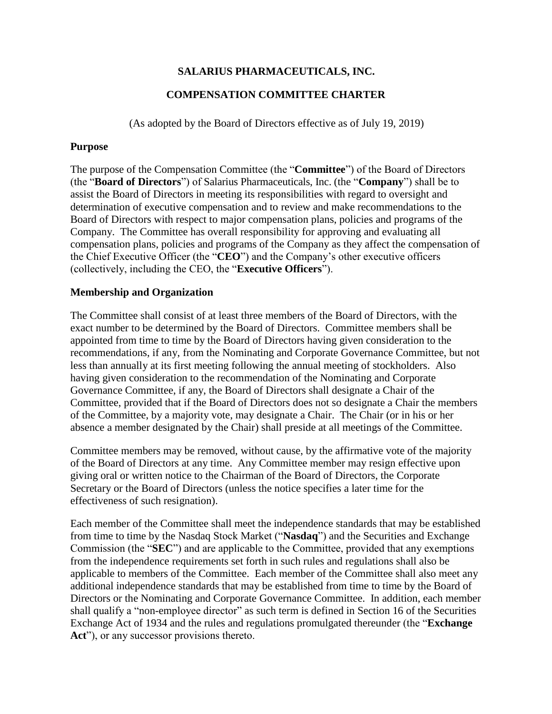# **SALARIUS PHARMACEUTICALS, INC.**

# **COMPENSATION COMMITTEE CHARTER**

(As adopted by the Board of Directors effective as of July 19, 2019)

## **Purpose**

The purpose of the Compensation Committee (the "**Committee**") of the Board of Directors (the "**Board of Directors**") of Salarius Pharmaceuticals, Inc. (the "**Company**") shall be to assist the Board of Directors in meeting its responsibilities with regard to oversight and determination of executive compensation and to review and make recommendations to the Board of Directors with respect to major compensation plans, policies and programs of the Company. The Committee has overall responsibility for approving and evaluating all compensation plans, policies and programs of the Company as they affect the compensation of the Chief Executive Officer (the "**CEO**") and the Company's other executive officers (collectively, including the CEO, the "**Executive Officers**").

## **Membership and Organization**

The Committee shall consist of at least three members of the Board of Directors, with the exact number to be determined by the Board of Directors. Committee members shall be appointed from time to time by the Board of Directors having given consideration to the recommendations, if any, from the Nominating and Corporate Governance Committee, but not less than annually at its first meeting following the annual meeting of stockholders. Also having given consideration to the recommendation of the Nominating and Corporate Governance Committee, if any, the Board of Directors shall designate a Chair of the Committee, provided that if the Board of Directors does not so designate a Chair the members of the Committee, by a majority vote, may designate a Chair. The Chair (or in his or her absence a member designated by the Chair) shall preside at all meetings of the Committee.

Committee members may be removed, without cause, by the affirmative vote of the majority of the Board of Directors at any time. Any Committee member may resign effective upon giving oral or written notice to the Chairman of the Board of Directors, the Corporate Secretary or the Board of Directors (unless the notice specifies a later time for the effectiveness of such resignation).

Each member of the Committee shall meet the independence standards that may be established from time to time by the Nasdaq Stock Market ("**Nasdaq**") and the Securities and Exchange Commission (the "**SEC**") and are applicable to the Committee, provided that any exemptions from the independence requirements set forth in such rules and regulations shall also be applicable to members of the Committee. Each member of the Committee shall also meet any additional independence standards that may be established from time to time by the Board of Directors or the Nominating and Corporate Governance Committee. In addition, each member shall qualify a "non-employee director" as such term is defined in Section 16 of the Securities Exchange Act of 1934 and the rules and regulations promulgated thereunder (the "**Exchange**  Act"), or any successor provisions thereto.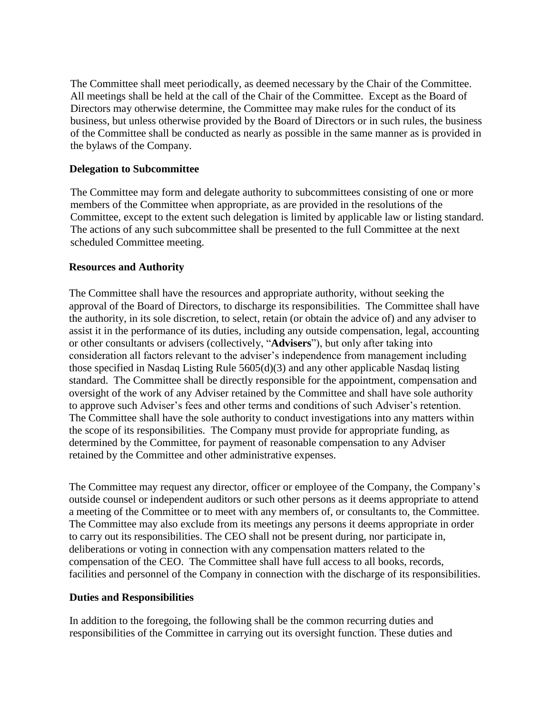The Committee shall meet periodically, as deemed necessary by the Chair of the Committee. All meetings shall be held at the call of the Chair of the Committee. Except as the Board of Directors may otherwise determine, the Committee may make rules for the conduct of its business, but unless otherwise provided by the Board of Directors or in such rules, the business of the Committee shall be conducted as nearly as possible in the same manner as is provided in the bylaws of the Company.

### **Delegation to Subcommittee**

The Committee may form and delegate authority to subcommittees consisting of one or more members of the Committee when appropriate, as are provided in the resolutions of the Committee, except to the extent such delegation is limited by applicable law or listing standard. The actions of any such subcommittee shall be presented to the full Committee at the next scheduled Committee meeting.

## **Resources and Authority**

The Committee shall have the resources and appropriate authority, without seeking the approval of the Board of Directors, to discharge its responsibilities. The Committee shall have the authority, in its sole discretion, to select, retain (or obtain the advice of) and any adviser to assist it in the performance of its duties, including any outside compensation, legal, accounting or other consultants or advisers (collectively, "**Advisers**"), but only after taking into consideration all factors relevant to the adviser's independence from management including those specified in Nasdaq Listing Rule 5605(d)(3) and any other applicable Nasdaq listing standard. The Committee shall be directly responsible for the appointment, compensation and oversight of the work of any Adviser retained by the Committee and shall have sole authority to approve such Adviser's fees and other terms and conditions of such Adviser's retention. The Committee shall have the sole authority to conduct investigations into any matters within the scope of its responsibilities. The Company must provide for appropriate funding, as determined by the Committee, for payment of reasonable compensation to any Adviser retained by the Committee and other administrative expenses.

The Committee may request any director, officer or employee of the Company, the Company's outside counsel or independent auditors or such other persons as it deems appropriate to attend a meeting of the Committee or to meet with any members of, or consultants to, the Committee. The Committee may also exclude from its meetings any persons it deems appropriate in order to carry out its responsibilities. The CEO shall not be present during, nor participate in, deliberations or voting in connection with any compensation matters related to the compensation of the CEO. The Committee shall have full access to all books, records, facilities and personnel of the Company in connection with the discharge of its responsibilities.

### **Duties and Responsibilities**

In addition to the foregoing, the following shall be the common recurring duties and responsibilities of the Committee in carrying out its oversight function. These duties and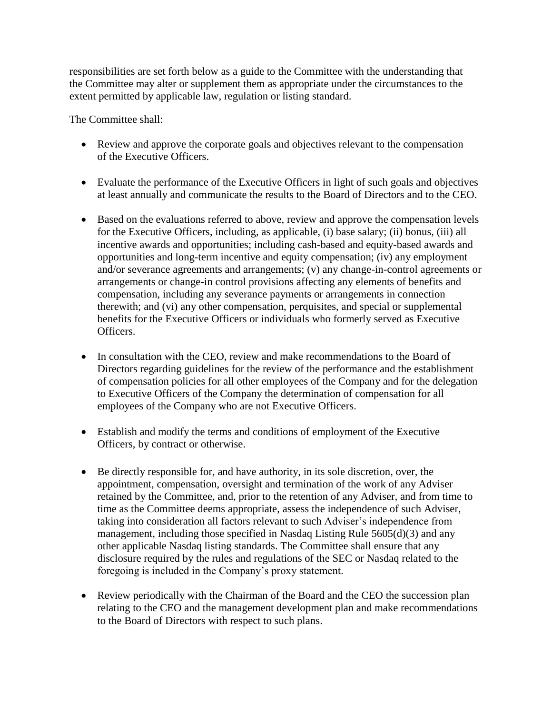responsibilities are set forth below as a guide to the Committee with the understanding that the Committee may alter or supplement them as appropriate under the circumstances to the extent permitted by applicable law, regulation or listing standard.

The Committee shall:

- Review and approve the corporate goals and objectives relevant to the compensation of the Executive Officers.
- Evaluate the performance of the Executive Officers in light of such goals and objectives at least annually and communicate the results to the Board of Directors and to the CEO.
- Based on the evaluations referred to above, review and approve the compensation levels for the Executive Officers, including, as applicable, (i) base salary; (ii) bonus, (iii) all incentive awards and opportunities; including cash-based and equity-based awards and opportunities and long-term incentive and equity compensation; (iv) any employment and/or severance agreements and arrangements; (v) any change-in-control agreements or arrangements or change-in control provisions affecting any elements of benefits and compensation, including any severance payments or arrangements in connection therewith; and (vi) any other compensation, perquisites, and special or supplemental benefits for the Executive Officers or individuals who formerly served as Executive Officers.
- In consultation with the CEO, review and make recommendations to the Board of Directors regarding guidelines for the review of the performance and the establishment of compensation policies for all other employees of the Company and for the delegation to Executive Officers of the Company the determination of compensation for all employees of the Company who are not Executive Officers.
- Establish and modify the terms and conditions of employment of the Executive Officers, by contract or otherwise.
- Be directly responsible for, and have authority, in its sole discretion, over, the appointment, compensation, oversight and termination of the work of any Adviser retained by the Committee, and, prior to the retention of any Adviser, and from time to time as the Committee deems appropriate, assess the independence of such Adviser, taking into consideration all factors relevant to such Adviser's independence from management, including those specified in Nasdaq Listing Rule  $560\overline{5}$ (d)(3) and any other applicable Nasdaq listing standards. The Committee shall ensure that any disclosure required by the rules and regulations of the SEC or Nasdaq related to the foregoing is included in the Company's proxy statement.
- Review periodically with the Chairman of the Board and the CEO the succession plan relating to the CEO and the management development plan and make recommendations to the Board of Directors with respect to such plans.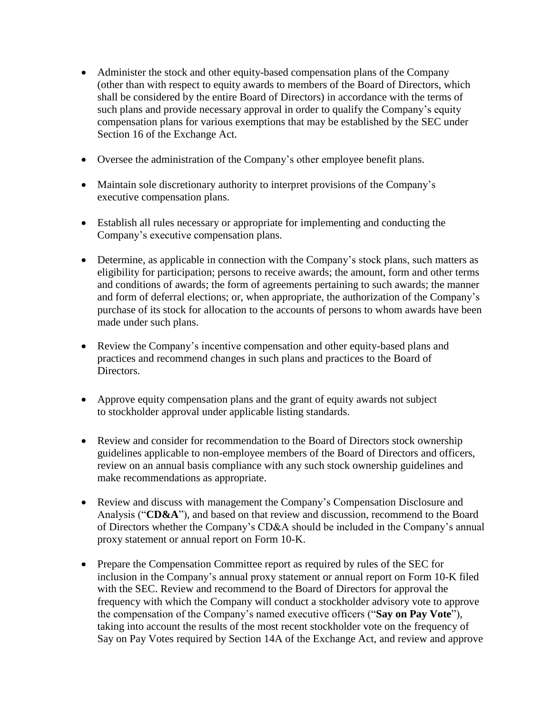- Administer the stock and other equity-based compensation plans of the Company (other than with respect to equity awards to members of the Board of Directors, which shall be considered by the entire Board of Directors) in accordance with the terms of such plans and provide necessary approval in order to qualify the Company's equity compensation plans for various exemptions that may be established by the SEC under Section 16 of the Exchange Act.
- Oversee the administration of the Company's other employee benefit plans.
- Maintain sole discretionary authority to interpret provisions of the Company's executive compensation plans.
- Establish all rules necessary or appropriate for implementing and conducting the Company's executive compensation plans.
- Determine, as applicable in connection with the Company's stock plans, such matters as eligibility for participation; persons to receive awards; the amount, form and other terms and conditions of awards; the form of agreements pertaining to such awards; the manner and form of deferral elections; or, when appropriate, the authorization of the Company's purchase of its stock for allocation to the accounts of persons to whom awards have been made under such plans.
- Review the Company's incentive compensation and other equity-based plans and practices and recommend changes in such plans and practices to the Board of Directors.
- Approve equity compensation plans and the grant of equity awards not subject to stockholder approval under applicable listing standards.
- Review and consider for recommendation to the Board of Directors stock ownership guidelines applicable to non-employee members of the Board of Directors and officers, review on an annual basis compliance with any such stock ownership guidelines and make recommendations as appropriate.
- Review and discuss with management the Company's Compensation Disclosure and Analysis ("**CD&A**"), and based on that review and discussion, recommend to the Board of Directors whether the Company's CD&A should be included in the Company's annual proxy statement or annual report on Form 10-K.
- Prepare the Compensation Committee report as required by rules of the SEC for inclusion in the Company's annual proxy statement or annual report on Form 10-K filed with the SEC. Review and recommend to the Board of Directors for approval the frequency with which the Company will conduct a stockholder advisory vote to approve the compensation of the Company's named executive officers ("**Say on Pay Vote**"), taking into account the results of the most recent stockholder vote on the frequency of Say on Pay Votes required by Section 14A of the Exchange Act, and review and approve